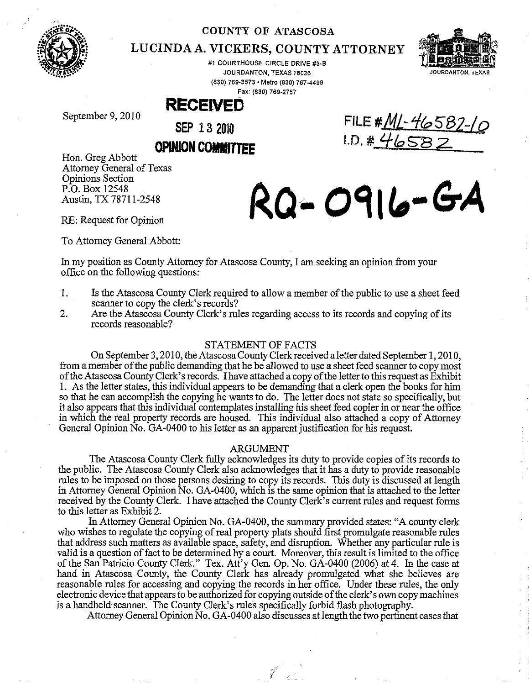

#### **COUNTY OF ATASCOSA**

## LUCINDA A. **VICKERS, COUNTY ATTORNEY**

#1 COURTHOUSE CIRCLE DRIVE #3·8 JOURDANTON, TEXAS 78026 (830) 769·3573· Metro (830) 767·4499 **Fax: (830) 769-2757** 



JOURDANTON TEXAS

September 9, 2010

**SEP 132010** 

**RECEIVED** 

# **OPINION COMMITTEE**

Hon. Greg Abbott Attorney General of Texas Opinions Section P.O. Box 12548 Austin, TX 78711-2548 RQ- 0916-GA

**FILE** #ML.~ **1fo582-LQ**  I.D, **# Ij,taSB 2-**

To Attorney General Abbott:

In my position as County Attorney for Atascosa County, I am seeking an opinion from your office on the following questions:

- 1, Is the Atascosa County Clerk required to allow a member of the public to use a sheet feed scanner to copy the clerk's records?
- 2. Are the Atascosa County Clerk's rules regarding access to its records and copying of its records reasonable?

#### STATEMENT OF FACTS

On September 3, 2010, the Atascosa County Clerk received a letter dated September 1, 2010, from a member of the public demanding that he be allowed to use a sheet feed scanner to copy most of the Atascosa County Clerk's records, I have attached a copy of the letter to this request as Exhibit I. As the letter states, this individual appears to be demanding that a clerk open the books for him so that he can accomplish the copying he wants to do. The letter does not state so specifically, but it also appears that this individual contemplates installing his sheet feed copier in or near the office in which the real property records are housed, This individual also attached a copy of Attorney General Opinion No. GA-0400 to his letter as an apparent justification for his request.

#### ARGUMENT

The Atascosa County Clerk fully acknowledges its duty to provide copies of its records to the public. The Atascosa County Clerk also acknowledges that it has a duty to provide reasonable rules to be imposed on those persons desiring to copy its records. This duty is discussed at length in Attorney General Opinion No, GA-0400, which is the same opinion that is attached to the letter received by the County Clerk. I have attached the County Clerk's current rules and request forms to this letter as Exhibit 2.

In Attorney General Opinion No. GA-0400, the summary provided states: "A county clerk who wishes to regulate the copying of real property plats should first promulgate reasonable rules that address such matters as available space, safety, and disruption. Whether any particular rule is valid is a question of fact to be determined by a court. Moreover, this result is limited to the office of the San Patricio County Clerk." Tex. Att'y Gen. Op. No. GA-0400 (2006) at 4. In the case at hand in Atascosa County, the County Clerk has already promulgated what she believes are reasonable rules for accessing and copying the records in her office, Under these rules, the only electronic device that appears to be authorized for copying outside of the clerk's own copy machines is a handheld scanner. The County Clerk's rules specifically forbid flash photography.

Attorney General Opinion No. GA-0400 also discusses at length the two pertinent cases that

 $\mathcal{I}$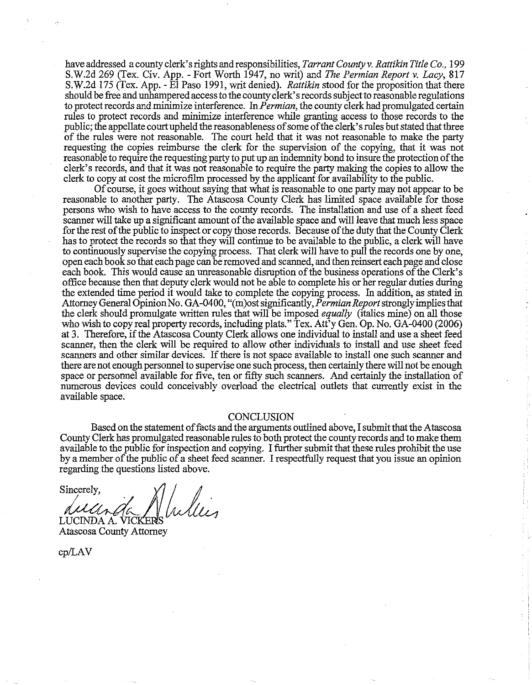have addressed a county clerk's rights and responsibilities, *Tarrant County* v. *Rattikin Title Co., 199*  S.W.2d 269 (Tex. Civ. App. - Fort Worth 1947, no writ) and *The Permian Report* v. *Lacy, 817*  S.W.2d 175 (Tex. App. - El Paso 1991, writ denied). *Rattikin* stood for the proposition that there should be free and unhampered access to the county clerk's records subject to reasonable regulations to protect records and minimize interference. In *Permian,* the county clerk had promulgated certain rules to protect records and minimize interference while granting access to those records to the public; the appellate court upheld the reasonableness of some of the clerk's rules but stated that three of the rules were not reasonable. The court held that it was not reasonable to make the party requesting the copies reimburse the clerk for the supervision of the copying, that it was not reasonable to require the requesting party to put up an indemnity bond to insure the protection of the clerk's records, and that it was not reasonable to require the party making the copies to allow the clerk to copy at cost the microfilm processed by the applicant for availability to the public.

Of course, it goes without saying that what is reasonable to one party may not appear to be reasonable to another party. The Atascosa County Clerk has limited space available for those persons who wish to have access to the county records. The installation and use of a sheet feed scanner will take up a significant amount of the available space and will leave that much less space for the rest of the public to inspect or copy those records. Because of the duty that the County Clerk has to protect the records so that they will continue to be available to the public, a clerk will have to continuously supervise the copying process. That clerk will have to pull the records one by one, open each book so that each page can be removed and scanned, and then reinsert each page and close each book. This would cause an unreasonable disruption of the business operations of the Clerk's office because then that deputy clerk would not be able to complete his or her regular duties during the extended time period it would take to complete the copying process. In addition, as stated in Attorney General Opinion No. GA -0400, "(m)ost significantly, *Permian Report* strongiyimplies that the clerk should promulgate written rules that will be imposed *equally* (italics mine) on all those who wish to copy real property records, including plats." Tex. Att<sup>3</sup>y Gen. Op. No. GA-0400 (2006) at 3. Therefore, if the Atascosa County Clerk allows one individual to install and use a sheet feed scanner, then the clerk will be required to allow other individuals to install and use sheet feed scanners and other similar devices. If there is not space available to install one such scanner and there are not enough personnel to supervise one such process, then certainly there will not be enough space or personnel available for five, ten or fifty such scanners. And certainly the installation of numerous devices could conceivably overload the electrical outlets that currently exist in the available space.

#### **CONCLUSION**

Based on the statement of facts and the arguments outlined above, I submit that the Atascosa County Clerk has promulgated reasonable rules to both protect the county records and to make them available to the public for inspection and copying. I further submit that these rules prohibit the use by a member of the public of a sheet feed scanner. I respectfully request that you issue an opinion regarding the questions listed above.<br>
Sincerely,<br>
LUCINDA A. VICKERS regarding the questions listed above.

Sincerely,

Atascosa County Attorney

cp/LAV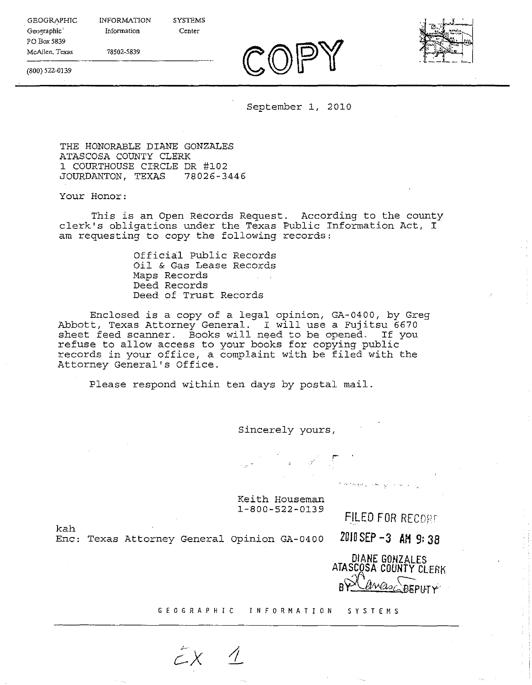**SYSTEMS** 

**Center** 

78502-5839

INFORMATION **Information** 



(800) 522-0139

GEOGRAPHIC Geographic PO *Box* 5839 **McAllen, Texas** 

September 1, 2010

THE HONORABLE DIANE GONZALES ATASCOSA COUNTY CLERK 1 COURTHOUSE CIRCLE DR #102 JOURDANTON, TEXAS 78026-3446

Your Honor:

This is an Open Records Request. According to the county clerk's obligations under the Texas Public Information Act, I am requesting to copy the following records:

> Official Public Records Oil & Gas Lease Records Maps Records Deed Records Deed of Trust Records

Enclosed is a copy of a legal opinion, GA-0400, by Greg Abbott, Texas Attorney General. I will use a Fujitsu 6670 sheet feed scanner. Books will need to be opened. If you refuse to allow access to your books for copying public records in your office, a complaint with be filed with the Attorney General's Office.

Please respond within ten days by postal mail.

Sincerely yours,

Keith Houseman 1-800-522-0139

FILED FOR RECORD

Pacific was con-

kah Enc: Texas Attorney General opinion GA-0400 **2010 SEP -3 AM 9: 38** 

> **DIANE GONZALES ATASCOSA COUNTY** CLERK <u>Welse DEPLITY</u>

GEOGRAPHIC INFORMATION SYSTEMS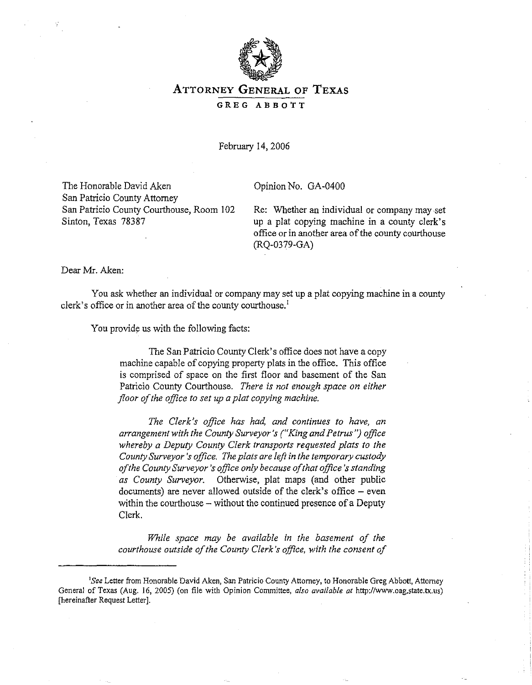

### **ATTORNEY GENERAL OF TEXAS**

**GREG ABBOTT** 

February 14, 2006

The Honorable David Aken San Patricio County Attorney San Patricio County Courthouse, Room 102 Sinton, Texas 78387

Opinion No. GA-0400

Re: Whether an individual or company may set up a plat copying machine in a county clerk's office or in another area of the county courthouse (RQ-0379-GA)

Dear Mr. Aken:

You ask whether an individual or company may set up a plat copying machine in a county clerk's office or in another area of the county courthouse.<sup>1</sup>

You provide us with the following facts:

The San Patricio County Clerk's office does not have a copy machine capable of copying property plats in the office. This office is comprised of space on the first floor and basement of the San Patricio County Courthouse. *There is not enough space on either floor of the office to set up a plat copying machine.* 

*The Clerk's office has had, and continues to have, an arrangement with the County Surveyor's ("King and Petrus") office whereby a Deputy County Clerk transports requested plats to the County Surveyor's office. The plats are lejl in the temporary custody of the County Surveyor's office only because of that office's standing as County Surveyor.* Otherwise, plat maps (and other public  $d$ ocuments) are never allowed outside of the clerk's office  $-$  even within the courthouse – without the continued presence of a Deputy Clerk.

*While space may be available in the basement of the courthouse outside of the County Clerk's office, with the consent of* 

*<sup>&#</sup>x27;See* Letter from Honorable David Aken, San Patricio County Attorney, to Honorable Greg Abbott, Attorney General of Texas (Aug. 16, 2005) (on file with Opinion Committee, also available at http://www.oag.state.tx.us) [hereinafter Request Letter].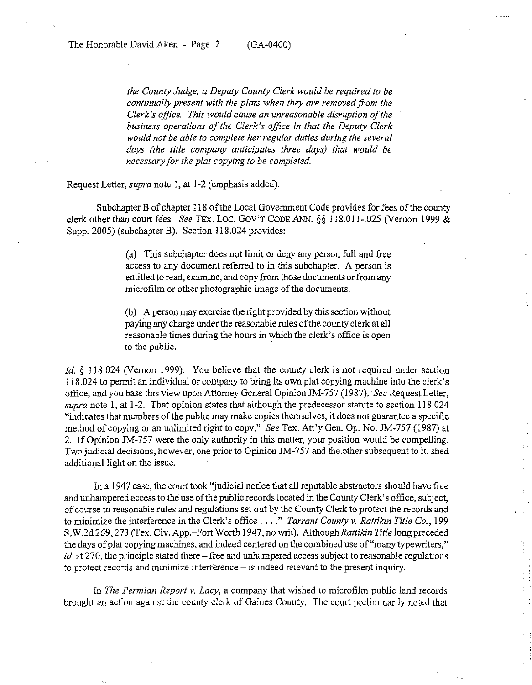*the County Judge, a Deputy County Clerk would be required to be continually present with the plats when they are removed from the Clerk's office. This would cause an unreasonable disruption of the business operations of the Clerk's office in that the Deputy Clerk would not be able to complete her regular duties during the several days (the title company anticipates three days) that would be necessary for the plat copying to be completed.* 

Request Letter, *supra* note 1, at 1-2 (emphasis added).

Subchapter B of chapter 118 of the Local Government Code provides for fees of the county clerk other than court fees. *See* TEx. Lac. Gov'T CODE ANN. §§ 118.011-.025 (Vernon 1999 & Supp. 2005) (subchapter B). Section 118.024 provides:

> (a) This subchapter does not limit or deny any person full and free access to any document referred to in this subchapter. A person is entitled to read, examine, and copy from those documents or from any microfilm or other photographic image of the documents.

> (b) A person may exercise the right provided by this section without paying any charge under the reasonable rules of the county clerk at all reasonable times during the hours in which the clerk's office is open to the public.

*Id.* § 118.024 (Vernon 1999). You believe that the county clerk is not required under section 118.024 to pennit an individual or company to bring its own plat copying machine into the clerk's office, and you base this view upon Attorney General Opinion JM-7S7 (1987). *See* Request Letter, *supra* note 1, at 1-2. That opinion states that although the predecessor statute to section 118.024 "indicates that members of the public may make copies themselves, it does not guarantee a specific method of copying or an unlimited right to copy." *See* Tex. Att'y Gen. Op. No. JM-757 (1987) at 2. If Opinion JM-757 were the only authority in this matter, your position would be compelling. Two judicial decisions, however, one prior to Opinion JM-757 and the other subsequent to it, shed additional light on the issue.

In a 1947 case, the court took "judicial notice that all reputable abstractors should have free and unhampered access to the use of the public records located in the County Clerk's office, subject, of course to reasonable rules and regulations set out by the County Clerk to protect the records and to minimize the interference in the Clerk's office .... " *Tarrant County v. Rattikin Title Co., 199*  S.W.2d 269, 273 (Tex. Civ. App.-Fort Worth 1947, no writ). Although Rattikin Title long preceded the days of plat copying machines, and indeed centered on the combined use of "many typewriters," *id.* at 270, the principle stated there - free and unhampered access subject to reasonable regulations to protect records and minimize interference – is indeed relevant to the present inquiry.

In *The Permian Report v. Lacy,* a company that wished to microfilm public land records brought an action against the county clerk of Gaines County. The court preliminarily noted that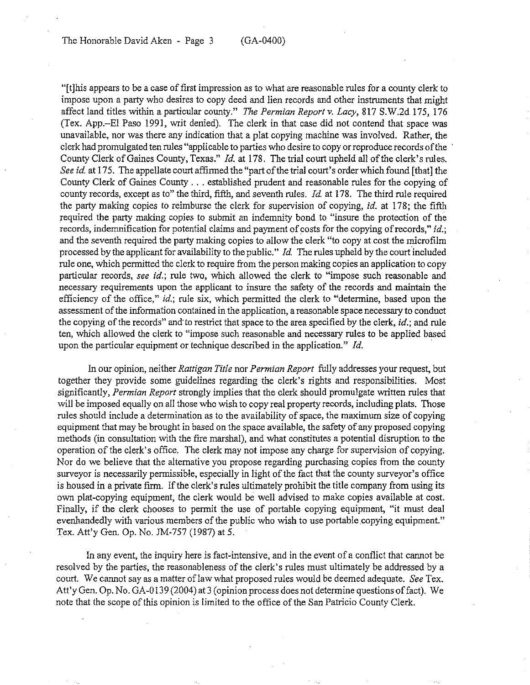"[t]his appears to be a case of first impression as to what are reasonable rules for a county clerk to impose upon a party who desires to copy deed and lien records and other instruments that might affect land titles within a particular county." *The Permian Report* v. *Lacy,* 817 S.W.2d 175, 176 (Tex. App.-EI Paso 1991, writ denied). The clerk in that case did not contend that space was unavailable, nor was there any indication that a plat copying machine was involved. Rather, the clerk had promulgated ten rules "applicable to parties who desire to copy or reproduce records ofthe . County Clerk of Gaines County, Texas." *Id.* at 178. The trial court upheld all of the clerk's rules. *See id.* at 175. The appellate court affirmed the "part of the trial court's order which found [that] the County Clerk of Gaines County ... established prudent and reasonable rules for the copying of county records, except as to" the third, fifth, and seventh rules. *Id.* at 178. The third rule required the party making copies to reimburse the clerk for supervision of copying, *id.* at 178; the fifth required the party making copies to submit an indemnity bond to "insure the protection of the records, indemnification for potential claims and payment of costs for the copying of records," *id.;*  and the seventh required the party making copies to allow the clerk "to copy at cost the microfilm processed by the applicant for availability to the public." *Id.* The rules upheld by the court included rule one, which permitted the clerk to require from the person making copies an application to copy particular records, *see id.;* rule two, which allowed the clerk to "impose such reasonable and necessary requirements upon the applicant to insure the safety of the records and maintain the efficiency of the office," *id.*; rule six, which permitted the clerk to "determine, based upon the assessment of the information contained in the application, a reasonable space necessary to conduct the copying of the records" and' to restrict that space to the area specified by the clerk, *id.;* and rule ten, which allowed the clerk to "impose such reasonable and necessary rules to be applied based upon the particular equipment or technique described in the application." *Id. .* 

In our opinion, neither *Rattigan Title* nor *Permian Report* fully addresses your request, but together they provide some guidelines regarding the clerk's rights and responsibilities. Most significantly, *Permian Report* strongly implies that the clerk should promulgate written rules that will be imposed equally on all those who wish to copy real property records, including plats. Those rules should include a determination as to the availability of space, the maximum size of copying equipment that may be brought in based on the space available, the safety of any proposed copying methods (in consultation with the fire marshal), and what constitutes a potential disruption to the operation of the clerk's office. The clerk may not impose any charge for supervision of copying. Nor do we believe that the alternative you propose regarding purchasing copies from the county surveyor is necessarily permissible, especially in light of the fact that the county surveyor's office is housed in a private firm. If the clerk's rules ultimately prohibit the title company from using its own plat-copying equipment, the clerk would be well advised to make copies available at cost. Finally, if the clerk chooses to permit the use of portable copying equipment, "it must deal evenhandedly with various members of the public who wish to use portable copying equipment." Tex. Att'y Gen. Op. No. JM-757 (1987) at 5.

In any event, the inquiry here is fact-intensive, and in the event of a conflict that cannot be resolved by the parties, the reasonableness of the clerk's rules must ultimately be addressed by a court. We cannot say as a matter of law what proposed rules would be deemed adequate. *See* Tex. Att'y Gen. Op. No. GA-0139 (2004) at 3 (opinion process does not determine questions of fact). We note that the scope of this opinion is limited to the office of the San Patricio County Clerk.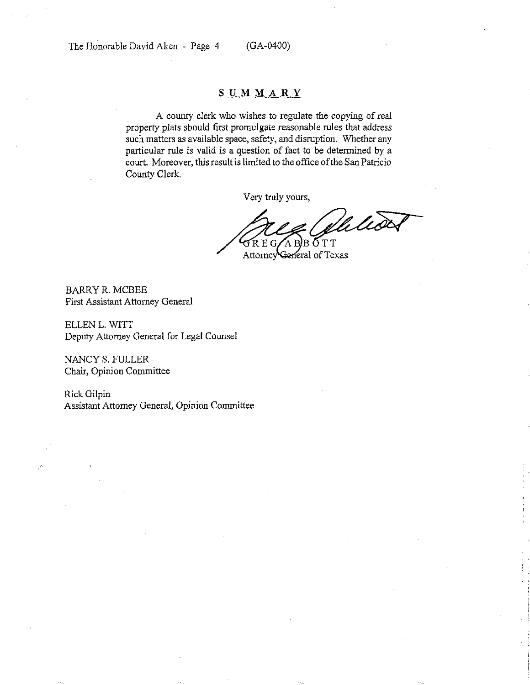#### **SUMMARY**

A county clerk who wishes to regulate the copying of real property plats should fIrst promulgate reasonable rules that address such matters as available space, safety, and disruption. Whether any particular rule is valid is a question of fact to be detennined by a court. Moreover, this result is limited to the office of the San Patricio County Clerk.

Very truly yours,

Miliso  $B\overline{O}TT$  $\mathop{\mathsf{G}}\nolimits{\mathsf{R}}$  E G ΆR

Attorney General of Texas

BARRYR.MCBEE First Assistant Attorney General

ELLEN L. WITT Deputy Attorney General for Legal Counsel

NANCY S. FULLER Chair, Opinion Committee

Rick Gilpin Assistant Attorney General, Opinion Committee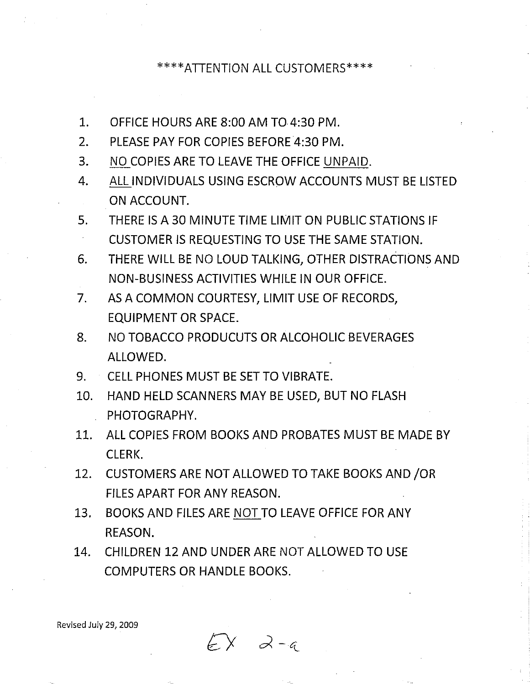# \*\*\*\*ATIENTION ALL CUSTOMERS\*\*\*\*

- 1. OFFICE HOURS ARE 8:00 AM T04:30 PM.
- 2. PLEASE PAY FOR COPIES BEFORE 4:30 PM.
- 3. NO COPIES ARE TO LEAVE THE OFFICE UNPAID.
- 4. ALL INDIVIDUALS USING ESCROW ACCOUNTS MUST BE LISTED ON ACCOUNT.
- 5. THERE IS A 30 MINUTE TIME LIMIT ON PUBLIC STATIONS IF CUSTOMER IS REQUESTING TO USE THE SAME STATION.
- 6. THERE WILL BE NO LOUD TALKING, OTHER DISTRACTIONS AND NON-BUSINESS ACTIVITIES WHILE IN OUR OFFICE.
- 7. AS A COMMON COURTESY, LIMIT USE OF RECORDS, EQUIPMENT OR SPACE.
- 8. NO TOBACCO PRODUCUTS OR ALCOHOLIC BEVERAGES ALLOWED.
- 9. CELL PHONES MUST BE SET TO VIBRATE.
- 10. HAND HELD SCANNERS MAY BE USED, BUT NO FLASH PHOTOGRAPHY.
- 11. ALL COPIES FROM BOOKS AND PROBATES MUST BE MADE BY CLERK.
- 12. CUSTOMERS ARE NOT ALLOWED TO TAKE BOOKS AND JOR FILES APART FOR ANY REASON.
- 13. BOOKS AND FILES ARE NOT TO LEAVE OFFICE FOR ANY REASON.
- 14. CHILDREN 12 AND UNDER ARE NOT ALLOWED TO USE COMPUTERS OR HANDLE BOOKS.

 $EX$   $2-a$ 

Revised July 29, 2009